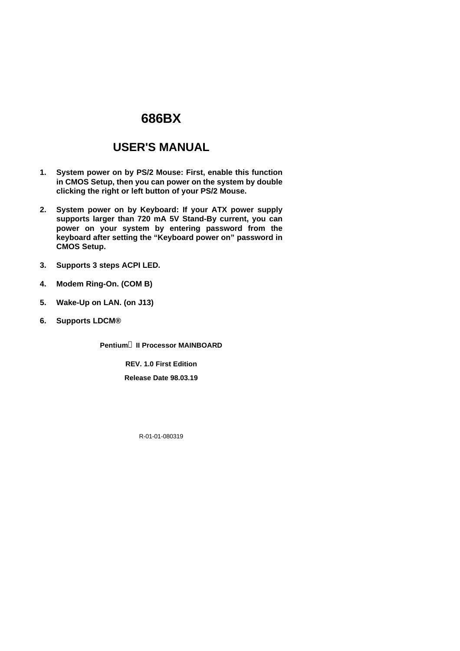# **686BX**

# **USER'S MANUAL**

- **1. System power on by PS/2 Mouse: First, enable this function in CMOS Setup, then you can power on the system by double clicking the right or left button of your PS/2 Mouse.**
- **2. System power on by Keyboard: If your ATX power supply supports larger than 720 mA 5V Stand-By current, you can power on your system by entering password from the keyboard after setting the "Keyboard power on" password in CMOS Setup.**
- **3. Supports 3 steps ACPI LED.**
- **4. Modem Ring-On. (COM B)**
- **5. Wake-Up on LAN. (on J13)**
- **6. Supports LDCM®**

**Pentiumâ II Processor MAINBOARD**

**REV. 1.0 First Edition Release Date 98.03.19**

R-01-01-080319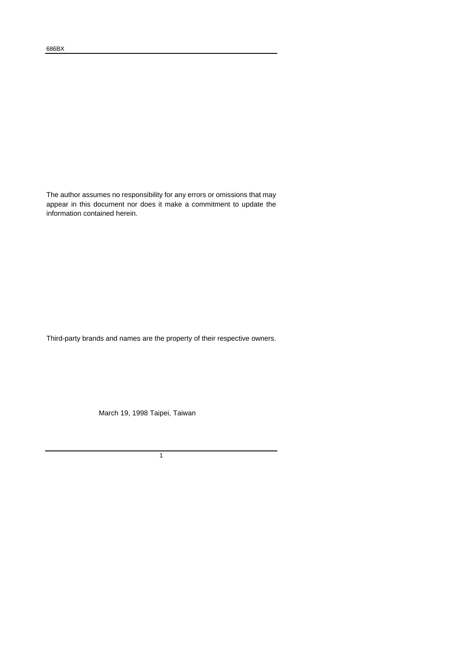The author assumes no responsibility for any errors or omissions that may appear in this document nor does it make a commitment to update the information contained herein.

Third-party brands and names are the property of their respective owners.

March 19, 1998 Taipei, Taiwan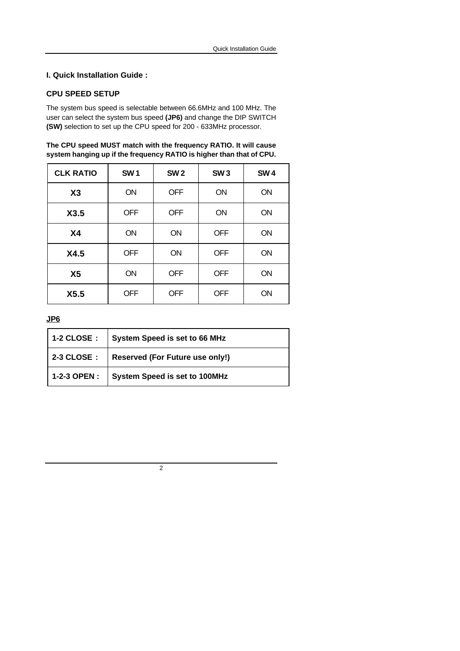#### **CPU SPEED SETUP**

The system bus speed is selectable between 66.6MHz and 100 MHz. The user can select the system bus speed **(JP6)** and change the DIP SWITCH **(SW)** selection to set up the CPU speed for 200 - 633MHz processor.

| The CPU speed MUST match with the frequency RATIO. It will cause     |  |
|----------------------------------------------------------------------|--|
| system hanging up if the frequency RATIO is higher than that of CPU. |  |

| <b>CLK RATIO</b> | SW <sub>1</sub> | <b>SW2</b> | <b>SW3</b> | <b>SW4</b> |
|------------------|-----------------|------------|------------|------------|
| X3               | ON              | <b>OFF</b> | ON         | <b>ON</b>  |
| X3.5             | <b>OFF</b>      | <b>OFF</b> | <b>ON</b>  | <b>ON</b>  |
| X <sub>4</sub>   | <b>ON</b>       | <b>ON</b>  | <b>OFF</b> | ON         |
| X4.5             | <b>OFF</b>      | <b>ON</b>  | <b>OFF</b> | ON         |
| X <sub>5</sub>   | ON              | <b>OFF</b> | <b>OFF</b> | <b>ON</b>  |
| X5.5             | <b>OFF</b>      | <b>OFF</b> | <b>OFF</b> | <b>ON</b>  |

**JP6**

| 1-2 CLOSE :   System Speed is set to 66 MHz  |
|----------------------------------------------|
| 2-3 CLOSE : Reserved (For Future use only!)  |
| 1-2-3 OPEN :   System Speed is set to 100MHz |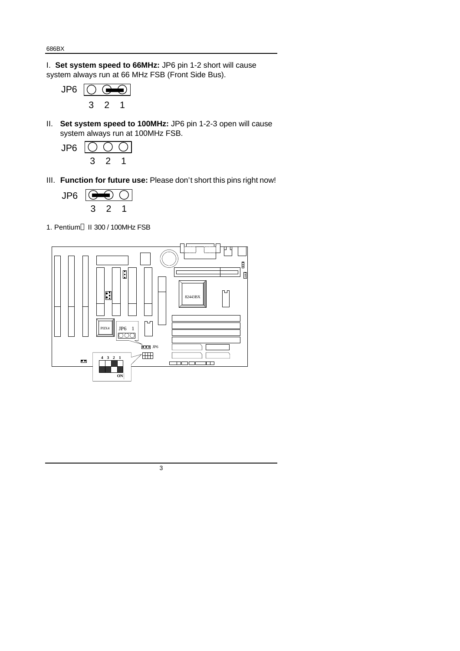I. **Set system speed to 66MHz:** JP6 pin 1-2 short will cause system always run at 66 MHz FSB (Front Side Bus).



II. **Set system speed to 100MHz:** JP6 pin 1-2-3 open will cause system always run at 100MHz FSB.

$$
\begin{array}{c}\n\text{JP6} \quad \textcircled{)} \quad \textcircled{)} \\
3 & 2 & 1\n\end{array}
$$

III. **Function for future use:** Please don't short this pins right now!

$$
\begin{array}{c}\n\text{JP6} \\
\hline\n3 & 2 & 1\n\end{array}
$$

1. Pentium<sup>®</sup> II 300 / 100MHz FSB



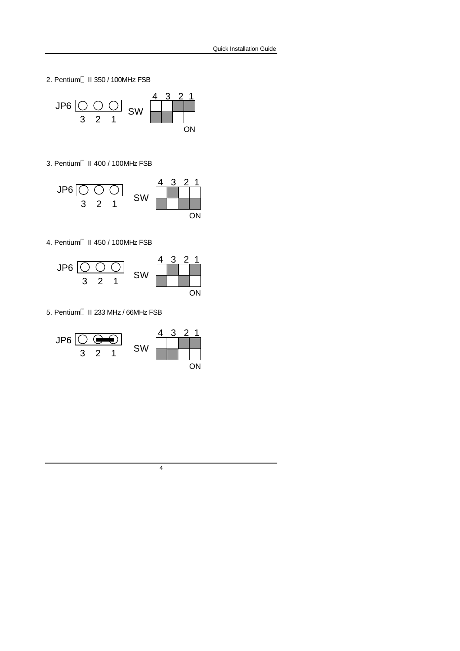2. Pentium<sup>®</sup> II 350 / 100MHz FSB



3. Pentium<sup>®</sup> II 400 / 100MHz FSB



4. Pentium<sup>®</sup> II 450 / 100MHz FSB



5. Pentium<sup>®</sup> II 233 MHz / 66MHz FSB

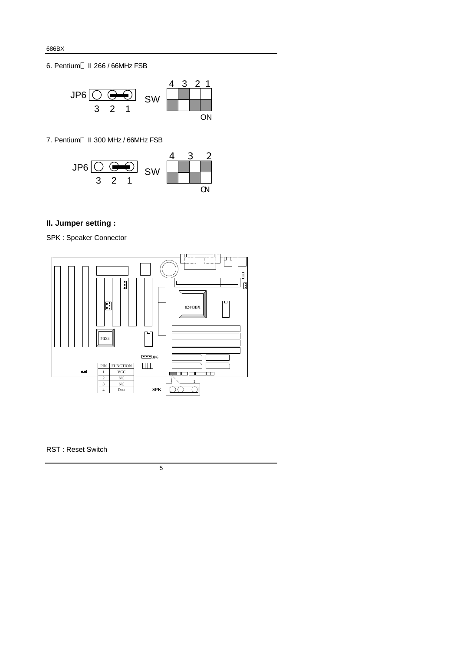6. Pentium<sup>®</sup> II 266 / 66MHz FSB



7. Pentium<sup>®</sup> II 300 MHz / 66MHz FSB



## **II. Jumper setting :**

SPK : Speaker Connector



RST : Reset Switch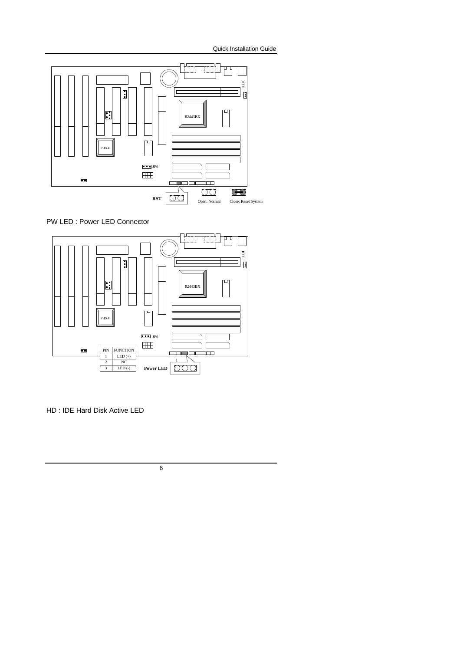

PW LED : Power LED Connector



HD : IDE Hard Disk Active LED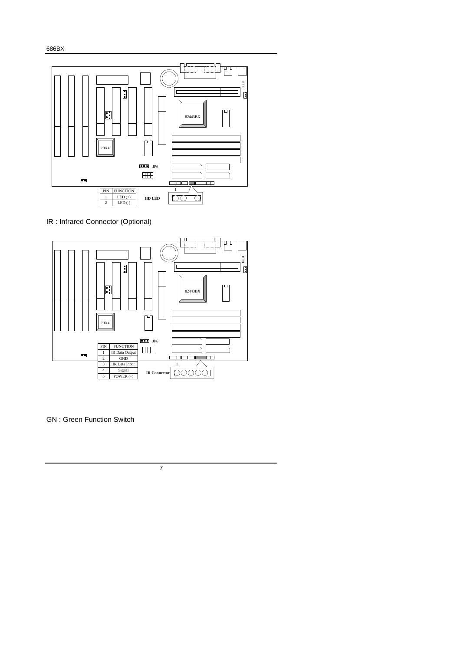686BX



IR : Infrared Connector (Optional)



GN : Green Function Switch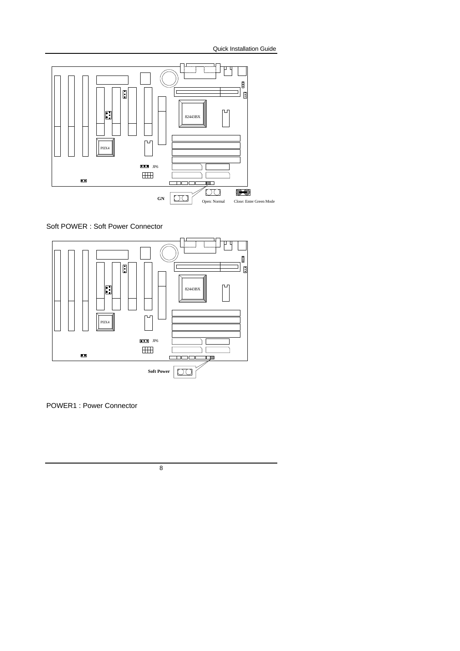

Soft POWER : Soft Power Connector



POWER1 : Power Connector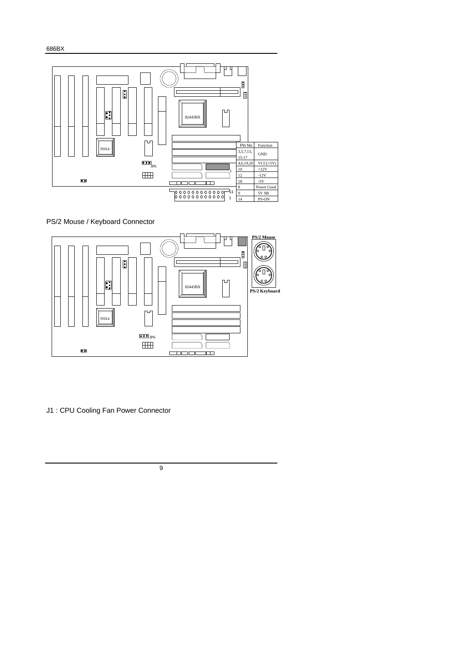

#### PS/2 Mouse / Keyboard Connector



J1 : CPU Cooling Fan Power Connector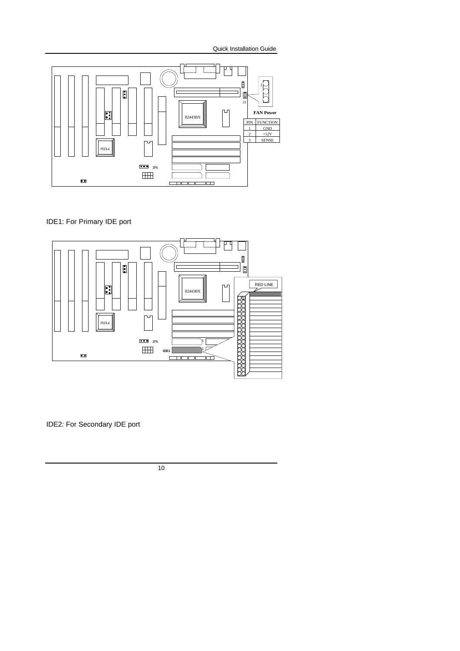

IDE1: For Primary IDE port



IDE2: For Secondary IDE port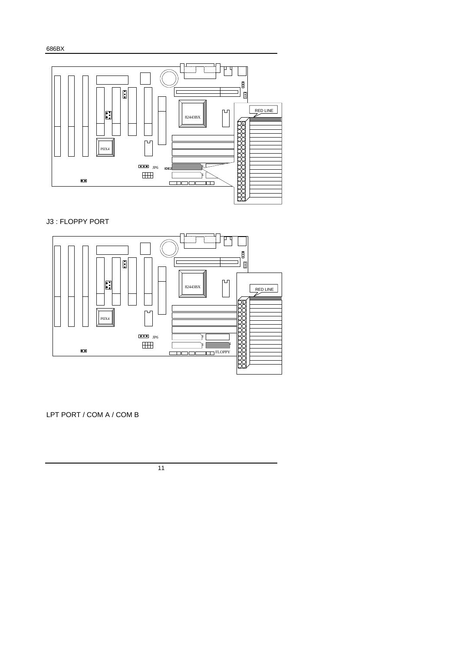686BX



#### J3 : FLOPPY PORT



LPT PORT / COM A / COM B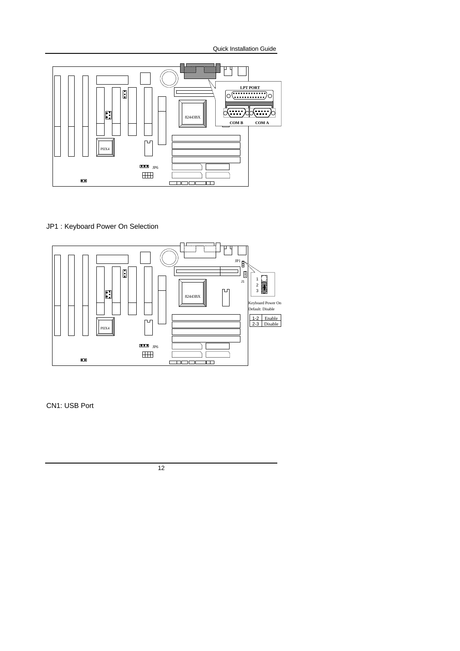

#### JP1 : Keyboard Power On Selection



CN1: USB Port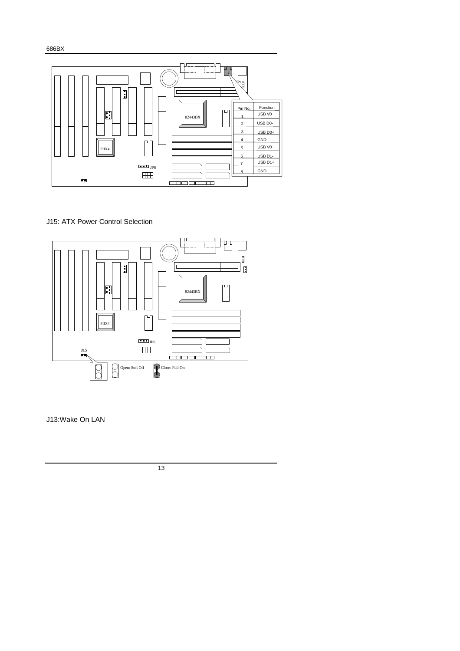

#### J15: ATX Power Control Selection



J13:Wake On LAN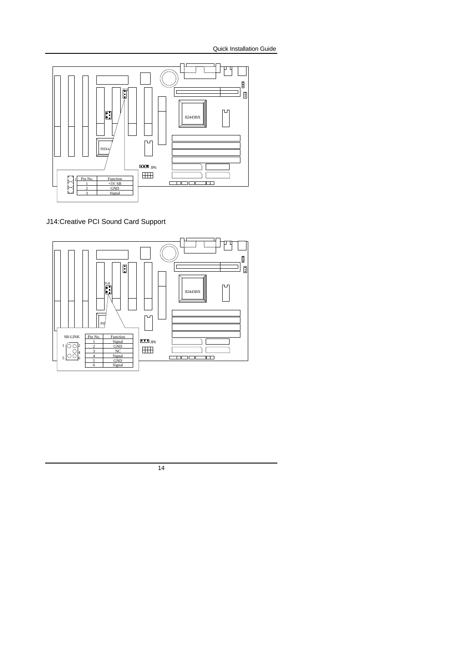

J14:Creative PCI Sound Card Support



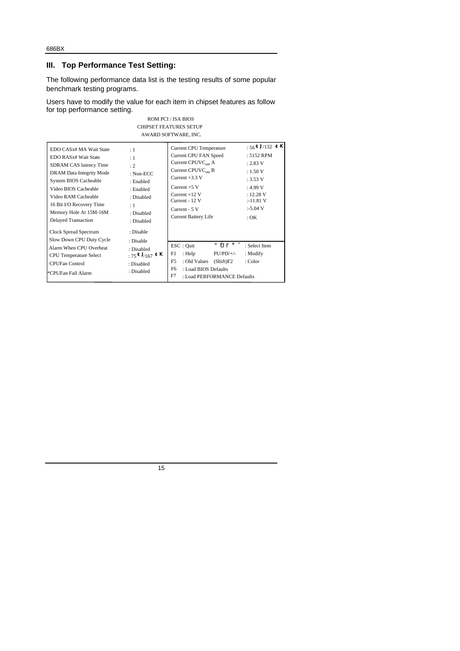### **III. Top Performance Test Setting:**

The following performance data list is the testing results of some popular benchmark testing programs.

Users have to modify the value for each item in chipset features as follow for top performance setting. ROM PCI / ISA BIOS

| KUM PUL/JSA BIUS<br><b>CHIPSET FEATURES SETUP</b><br>AWARD SOFTWARE, INC.                                                                                                                                                                                                                               |                                                                                                                            |                                                                                                                                                                                                                                            |                                                                                                                                                           |  |
|---------------------------------------------------------------------------------------------------------------------------------------------------------------------------------------------------------------------------------------------------------------------------------------------------------|----------------------------------------------------------------------------------------------------------------------------|--------------------------------------------------------------------------------------------------------------------------------------------------------------------------------------------------------------------------------------------|-----------------------------------------------------------------------------------------------------------------------------------------------------------|--|
| EDO CASx# MA Wait State<br>EDO RAS <sub>x</sub> # Wait State<br>SDRAM CAS latency Time<br>DRAM Data Integrity Mode<br>System BIOS Cacheable<br>Video BIOS Cacheable<br>Video RAM Cacheable<br>16 Bit I/O Recovery Time<br>Memory Hole At 15M-16M<br><b>Delayed Transaction</b><br>Clock Spread Spectrum | :1<br>: 1<br>:2<br>: $Non-ECC$<br>: Enabled<br>: Enabled<br>: Disabled<br>$\pm 1$<br>: Disabled<br>: Disabled<br>: Disable | <b>Current CPU Temperature</b><br><b>Current CPU FAN Speed</b><br>Current $CPUVCone$ A<br>Current $CPUVCone$ B<br>Current $+3.3$ V<br>Current $+5$ V<br>Current $+12$ V<br>Current - 12 V<br>Current - $5V$<br><b>Current Battery Life</b> | $:56^{\bigoplus J/132}$ $\bigoplus K$<br>: 5152 RPM<br>: 2.83 V<br>: 1.50 V<br>: 3.53 V<br>: 4.99 V<br>: 12.28 V<br>$: -11.81 V$<br>$: -5.04$ V<br>$:$ OK |  |
| Slow Down CPU Duty Cycle<br>Alarm When CPU Overheat<br><b>CPU</b> Temperature Select<br><b>CPUFan Control</b><br>l*CPUFan Fail Alarm                                                                                                                                                                    | : Disable<br>: Disabled<br>: $75 \oplus J/167 \oplus K$<br>: Disabled<br>: Disabled                                        | $\text{ESC}:$ Quit<br>$PU/PD/+\prime$ -<br>F1.<br>: Help<br>F5<br>: Old Values (Shift)F2<br>F6<br>: Load BIOS Defaults<br>F7<br>: Load PERFORMANCE Defaults                                                                                | $\hat{\rho} \tilde{\rho} \neq \tilde{\sigma}$ : Select Item<br>: Modify<br>: Color                                                                        |  |